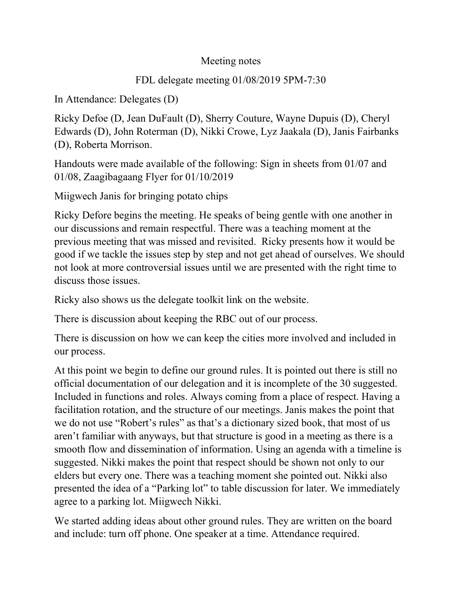## Meeting notes

## FDL delegate meeting 01/08/2019 5PM-7:30

In Attendance: Delegates (D)

Ricky Defoe (D, Jean DuFault (D), Sherry Couture, Wayne Dupuis (D), Cheryl Edwards (D), John Roterman (D), Nikki Crowe, Lyz Jaakala (D), Janis Fairbanks (D), Roberta Morrison.

Handouts were made available of the following: Sign in sheets from 01/07 and 01/08, Zaagibagaang Flyer for 01/10/2019

Miigwech Janis for bringing potato chips

Ricky Defore begins the meeting. He speaks of being gentle with one another in our discussions and remain respectful. There was a teaching moment at the previous meeting that was missed and revisited. Ricky presents how it would be good if we tackle the issues step by step and not get ahead of ourselves. We should not look at more controversial issues until we are presented with the right time to discuss those issues.

Ricky also shows us the delegate toolkit link on the website.

There is discussion about keeping the RBC out of our process.

There is discussion on how we can keep the cities more involved and included in our process.

At this point we begin to define our ground rules. It is pointed out there is still no official documentation of our delegation and it is incomplete of the 30 suggested. Included in functions and roles. Always coming from a place of respect. Having a facilitation rotation, and the structure of our meetings. Janis makes the point that we do not use "Robert's rules" as that's a dictionary sized book, that most of us aren't familiar with anyways, but that structure is good in a meeting as there is a smooth flow and dissemination of information. Using an agenda with a timeline is suggested. Nikki makes the point that respect should be shown not only to our elders but every one. There was a teaching moment she pointed out. Nikki also presented the idea of a "Parking lot" to table discussion for later. We immediately agree to a parking lot. Miigwech Nikki.

We started adding ideas about other ground rules. They are written on the board and include: turn off phone. One speaker at a time. Attendance required.